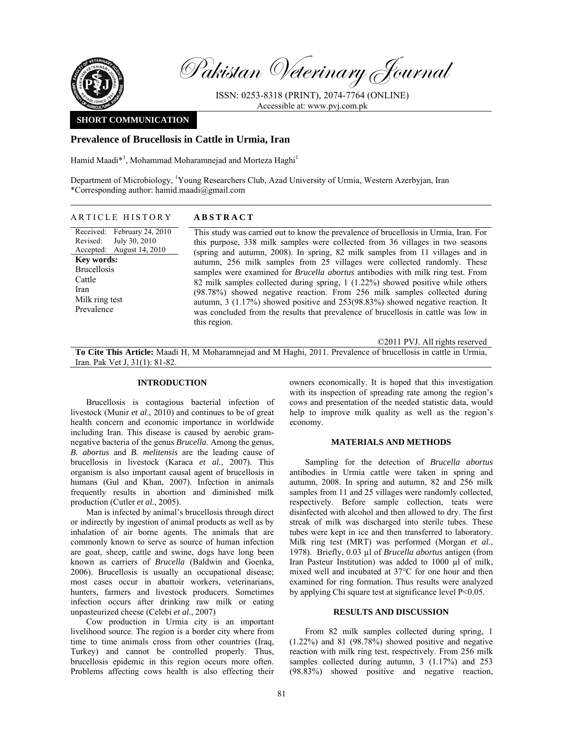

Pakistan Veterinary Journal

ISSN: 0253-8318 (PRINT), 2074-7764 (ONLINE) Accessible at: www.pvj.com.pk

## **SHORT COMMUNICATION**

# **Prevalence of Brucellosis in Cattle in Urmia, Iran**

Hamid Maadi\*<sup>1</sup>, Mohammad Moharamnejad and Morteza Haghi<sup>1</sup>

Department of Microbiology, <sup>1</sup>Young Researchers Club, Azad University of Urmia, Western Azerbyjan, Iran \*Corresponding author: hamid.maadi@gmail.com

### ARTICLE HISTORY **ABSTRACT**

Received: February 24, 2010 Revised: Accepted: August 14, 2010 July 30, 2010 **Key words:**  Brucellosis Cattle Iran Milk ring test Prevalence

This study was carried out to know the prevalence of brucellosis in Urmia, Iran. For this purpose, 338 milk samples were collected from 36 villages in two seasons (spring and autumn, 2008). In spring, 82 milk samples from 11 villages and in autumn, 256 milk samples from 25 villages were collected randomly. These samples were examined for *Brucella abortus* antibodies with milk ring test. From 82 milk samples collected during spring, 1 (1.22%) showed positive while others (98.78%) showed negative reaction. From 256 milk samples collected during autumn, 3 (1.17%) showed positive and 253(98.83%) showed negative reaction. It was concluded from the results that prevalence of brucellosis in cattle was low in this region.

©2011 PVJ. All rights reserved

**To Cite This Article:** Maadi H, M Moharamnejad and M Haghi, 2011. Prevalence of brucellosis in cattle in Urmia, Iran. Pak Vet J, 31(1): 81-82.

### **INTRODUCTION**

Brucellosis is contagious bacterial infection of livestock (Munir *et al*., 2010) and continues to be of great health concern and economic importance in worldwide including Iran. This disease is caused by aerobic gramnegative bacteria of the genus *Brucella*. Among the genus, *B. abortus* and *B. melitensis* are the leading cause of brucellosis in livestock (Karaca *et al.*, 2007). This organism is also important causal agent of brucellosis in humans (Gul and Khan, 2007). Infection in animals frequently results in abortion and diminished milk production (Cutler *et al.*, 2005).

Man is infected by animal's brucellosis through direct or indirectly by ingestion of animal products as well as by inhalation of air borne agents. The animals that are commonly known to serve as source of human infection are goat, sheep, cattle and swine, dogs have long been known as carriers of *Brucella* (Baldwin and Goenka, 2006). Brucellosis is usually an occupational disease; most cases occur in abattoir workers, veterinarians, hunters, farmers and livestock producers. Sometimes infection occurs after drinking raw milk or eating unpasteurized cheese (Celebi *et al.*, 2007)

Cow production in Urmia city is an important livelihood source. The region is a border city where from time to time animals cross from other countries (Iraq, Turkey) and cannot be controlled properly. Thus, brucellosis epidemic in this region occurs more often. Problems affecting cows health is also effecting their

owners economically. It is hoped that this investigation with its inspection of spreading rate among the region's cows and presentation of the needed statistic data, would help to improve milk quality as well as the region's economy.

#### **MATERIALS AND METHODS**

Sampling for the detection of *Brucella abortus* antibodies in Urmia cattle were taken in spring and autumn, 2008. In spring and autumn, 82 and 256 milk samples from 11 and 25 villages were randomly collected, respectively. Before sample collection, teats were disinfected with alcohol and then allowed to dry. The first streak of milk was discharged into sterile tubes. These tubes were kept in ice and then transferred to laboratory. Milk ring test (MRT) was performed (Morgan *et al.*, 1978). Briefly, 0.03 µl of *Brucella abortus* antigen (from Iran Pasteur Institution) was added to 1000 µl of milk, mixed well and incubated at 37°C for one hour and then examined for ring formation. Thus results were analyzed by applying Chi square test at significance level P<0.05.

#### **RESULTS AND DISCUSSION**

From 82 milk samples collected during spring, 1 (1.22%) and 81 (98.78%) showed positive and negative reaction with milk ring test, respectively. From 256 milk samples collected during autumn, 3 (1.17%) and 253 (98.83%) showed positive and negative reaction,